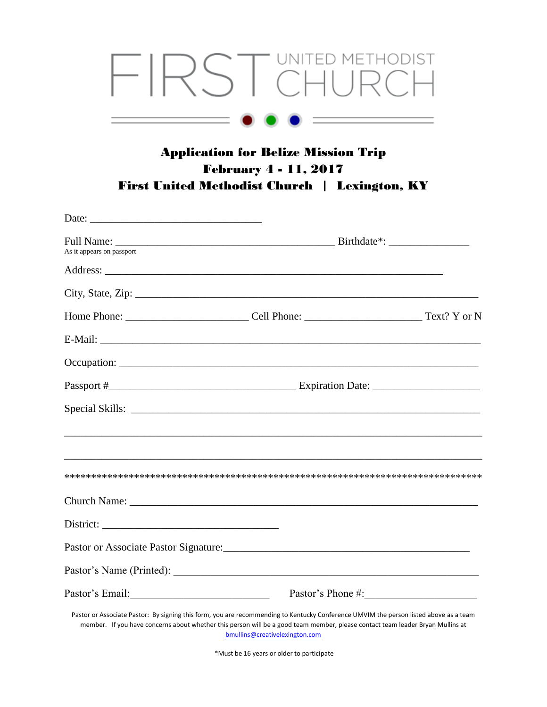## FIRST CHURCH

## Application for Belize Mission Trip February 4 - 11, 2017 First United Methodist Church | Lexington, KY

| Date: $\frac{1}{2}$ Date: $\frac{1}{2}$ Date: $\frac{1}{2}$ Date: $\frac{1}{2}$ Date: $\frac{1}{2}$ Date: $\frac{1}{2}$ Date: $\frac{1}{2}$ Date: $\frac{1}{2}$ Date: $\frac{1}{2}$ Date: $\frac{1}{2}$ Date: $\frac{1}{2}$ Date: $\frac{1}{2}$ Date: $\frac{1}{2}$ Date: $\frac{1}{2$ |                                |                   |
|----------------------------------------------------------------------------------------------------------------------------------------------------------------------------------------------------------------------------------------------------------------------------------------|--------------------------------|-------------------|
| As it appears on passport                                                                                                                                                                                                                                                              |                                |                   |
|                                                                                                                                                                                                                                                                                        |                                |                   |
|                                                                                                                                                                                                                                                                                        |                                |                   |
|                                                                                                                                                                                                                                                                                        |                                |                   |
|                                                                                                                                                                                                                                                                                        |                                |                   |
|                                                                                                                                                                                                                                                                                        |                                |                   |
|                                                                                                                                                                                                                                                                                        |                                |                   |
|                                                                                                                                                                                                                                                                                        |                                |                   |
|                                                                                                                                                                                                                                                                                        |                                |                   |
|                                                                                                                                                                                                                                                                                        |                                |                   |
|                                                                                                                                                                                                                                                                                        |                                |                   |
|                                                                                                                                                                                                                                                                                        |                                |                   |
|                                                                                                                                                                                                                                                                                        |                                |                   |
|                                                                                                                                                                                                                                                                                        |                                |                   |
|                                                                                                                                                                                                                                                                                        |                                |                   |
|                                                                                                                                                                                                                                                                                        |                                | Pastor's Phone #: |
| Pastor or Associate Pastor: By signing this form, you are recommending to Kentucky Conference UMVIM the person listed above as a team<br>member. If you have concerns about whether this person will be a good team member, please contact team leader Bryan Mullins at                | bmullins@creativelexington.com |                   |

\*Must be 16 years or older to participate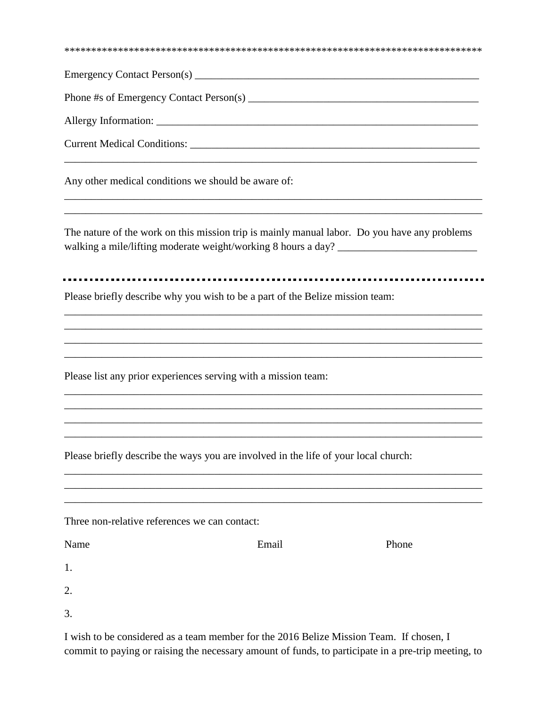| Phone #s of Emergency Contact Person(s)                                                                                                                                           |       |                                                                                   |
|-----------------------------------------------------------------------------------------------------------------------------------------------------------------------------------|-------|-----------------------------------------------------------------------------------|
|                                                                                                                                                                                   |       |                                                                                   |
|                                                                                                                                                                                   |       |                                                                                   |
| Any other medical conditions we should be aware of:                                                                                                                               |       |                                                                                   |
| The nature of the work on this mission trip is mainly manual labor. Do you have any problems<br>walking a mile/lifting moderate weight/working 8 hours a day? ___________________ |       | ,我们也不会有什么。""我们的人,我们也不会有什么?""我们的人,我们也不会有什么?""我们的人,我们也不会有什么?""我们的人,我们也不会有什么?""我们的人  |
| Please briefly describe why you wish to be a part of the Belize mission team:                                                                                                     |       |                                                                                   |
| Please list any prior experiences serving with a mission team:                                                                                                                    |       | ,我们也不能在这里的时候,我们也不能在这里的时候,我们也不能会在这里的时候,我们也不能会在这里的时候,我们也不能会在这里的时候,我们也不能会在这里的时候,我们也不 |
| Please briefly describe the ways you are involved in the life of your local church:                                                                                               |       |                                                                                   |
| Three non-relative references we can contact:                                                                                                                                     |       |                                                                                   |
| Name                                                                                                                                                                              | Email | Phone                                                                             |
| 1.                                                                                                                                                                                |       |                                                                                   |
| 2.                                                                                                                                                                                |       |                                                                                   |
| 3.                                                                                                                                                                                |       |                                                                                   |

I wish to be considered as a team member for the 2016 Belize Mission Team. If chosen, I commit to paying or raising the necessary amount of funds, to participate in a pre-trip meeting, to